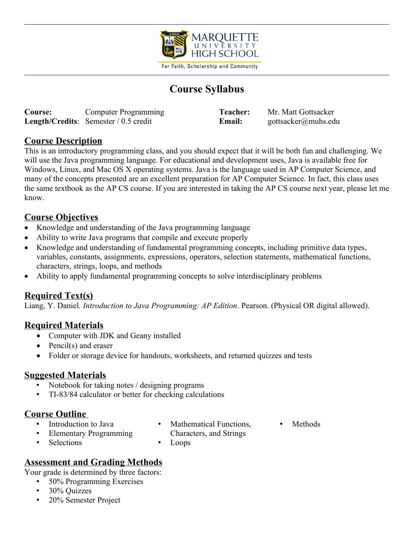

For Faith, Scholarship and Community

# **Course Syllabus**

| <b>Course:</b> | <b>Computer Programming</b>                    | Teacher: | Mr. Matt Gottsacker |
|----------------|------------------------------------------------|----------|---------------------|
|                | <b>Length/Credits:</b> Semester $/ 0.5$ credit | Email:   | gottsacker@muhs.edu |

#### **Course Description**

This is an introductory programming class, and you should expect that it will be both fun and challenging. We will use the Java programming language. For educational and development uses, Java is available free for Windows, Linux, and Mac OS X operating systems. Java is the language used in AP Computer Science, and many of the concepts presented are an excellent preparation for AP Computer Science. In fact, this class uses the same textbook as the AP CS course. If you are interested in taking the AP CS course next year, please let me know.

#### **Course Objectives**

- Knowledge and understanding of the Java programming language
- Ability to write Java programs that compile and execute properly
- Knowledge and understanding of fundamental programming concepts, including primitive data types, variables, constants, assignments, expressions, operators, selection statements, mathematical functions, characters, strings, loops, and methods
- Ability to apply fundamental programming concepts to solve interdisciplinary problems

#### **Required Text(s)**

Liang, Y. Daniel. *Introduction to Java Programming: AP Edition*. Pearson. (Physical OR digital allowed).

#### **Required Materials**

- Computer with JDK and Geany installed
- Pencil(s) and eraser
- Folder or storage device for handouts, worksheets, and returned quizzes and tests

#### **Suggested Materials**

- Notebook for taking notes / designing programs
- TI-83/84 calculator or better for checking calculations

#### **Course Outline**

- Introduction to Java
- Mathematical Functions, Characters, and Strings
- **Methods**

• Elementary Programming

**Selections** 

• Loops

## **Assessment and Grading Methods**

Your grade is determined by three factors:

- 50% Programming Exercises
- 30% Quizzes
- 20% Semester Project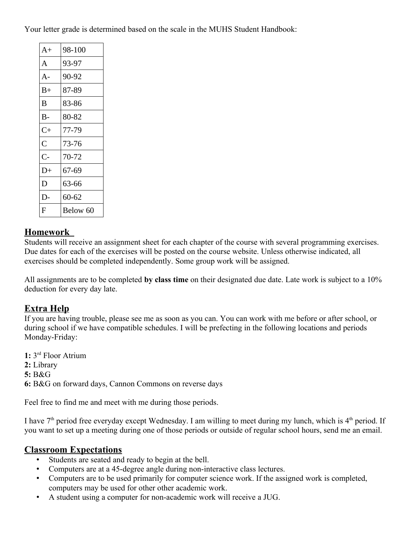Your letter grade is determined based on the scale in the MUHS Student Handbook:

| $A+$           | 98-100   |
|----------------|----------|
| A              | 93-97    |
| $A -$          | 90-92    |
| B+             | 87-89    |
| B              | 83-86    |
| В-             | 80-82    |
| $C+$           | 77-79    |
| $\overline{C}$ | 73-76    |
| $C -$          | 70-72    |
| $D+$           | 67-69    |
| D              | 63-66    |
| D-             | 60-62    |
| F              | Below 60 |

#### **Homework**

Students will receive an assignment sheet for each chapter of the course with several programming exercises. Due dates for each of the exercises will be posted on the course website. Unless otherwise indicated, all exercises should be completed independently. Some group work will be assigned.

All assignments are to be completed **by class time** on their designated due date. Late work is subject to a 10% deduction for every day late.

# **Extra Help**

If you are having trouble, please see me as soon as you can. You can work with me before or after school, or during school if we have compatible schedules. I will be prefecting in the following locations and periods Monday-Friday:

**1:** 3 rd Floor Atrium **2:** Library **5:** B&G **6:** B&G on forward days, Cannon Commons on reverse days

Feel free to find me and meet with me during those periods.

I have  $7<sup>th</sup>$  period free everyday except Wednesday. I am willing to meet during my lunch, which is  $4<sup>th</sup>$  period. If you want to set up a meeting during one of those periods or outside of regular school hours, send me an email.

## **Classroom Expectations**

- Students are seated and ready to begin at the bell.
- Computers are at a 45-degree angle during non-interactive class lectures.
- Computers are to be used primarily for computer science work. If the assigned work is completed, computers may be used for other other academic work.
- A student using a computer for non-academic work will receive a JUG.